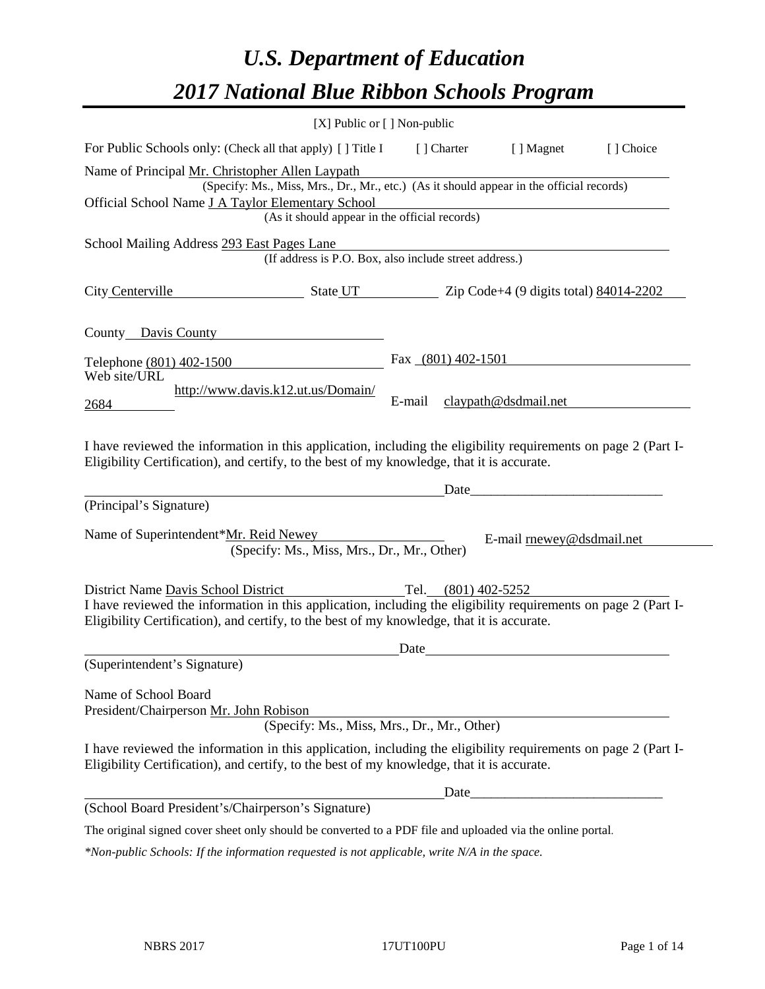# *U.S. Department of Education 2017 National Blue Ribbon Schools Program*

|                                                                                                                                                                                                                                                     | $[X]$ Public or $[ ]$ Non-public                                                                                                          |        |                     |                           |           |
|-----------------------------------------------------------------------------------------------------------------------------------------------------------------------------------------------------------------------------------------------------|-------------------------------------------------------------------------------------------------------------------------------------------|--------|---------------------|---------------------------|-----------|
| For Public Schools only: (Check all that apply) [ ] Title I                                                                                                                                                                                         |                                                                                                                                           |        | [ ] Charter         | [ ] Magnet                | [] Choice |
| Name of Principal Mr. Christopher Allen Laypath<br>Official School Name J A Taylor Elementary School                                                                                                                                                | (Specify: Ms., Miss, Mrs., Dr., Mr., etc.) (As it should appear in the official records)<br>(As it should appear in the official records) |        |                     |                           |           |
| School Mailing Address 293 East Pages Lane                                                                                                                                                                                                          | (If address is P.O. Box, also include street address.)                                                                                    |        |                     |                           |           |
| City Centerville                                                                                                                                                                                                                                    | $\frac{1}{2202}$ State UT $\frac{1}{20}$ Zip Code+4 (9 digits total) 84014-2202                                                           |        |                     |                           |           |
| County Davis County                                                                                                                                                                                                                                 |                                                                                                                                           |        |                     |                           |           |
| Telephone (801) 402-1500<br>Web site/URL                                                                                                                                                                                                            |                                                                                                                                           |        | Fax (801) 402-1501  |                           |           |
| 2684                                                                                                                                                                                                                                                | http://www.davis.k12.ut.us/Domain/                                                                                                        | E-mail |                     | claypath@dsdmail.net      |           |
| I have reviewed the information in this application, including the eligibility requirements on page 2 (Part I-<br>Eligibility Certification), and certify, to the best of my knowledge, that it is accurate.                                        |                                                                                                                                           |        |                     |                           |           |
| (Principal's Signature)                                                                                                                                                                                                                             |                                                                                                                                           |        | Date                |                           |           |
| Name of Superintendent*Mr. Reid Newey                                                                                                                                                                                                               | (Specify: Ms., Miss, Mrs., Dr., Mr., Other)                                                                                               |        |                     | E-mail rnewey@dsdmail.net |           |
| District Name Davis School District<br>I have reviewed the information in this application, including the eligibility requirements on page 2 (Part I-<br>Eligibility Certification), and certify, to the best of my knowledge, that it is accurate. |                                                                                                                                           |        | Tel. (801) 402-5252 |                           |           |
| (Superintendent's Signature)                                                                                                                                                                                                                        |                                                                                                                                           | Date   |                     |                           |           |
| Name of School Board<br>President/Chairperson Mr. John Robison                                                                                                                                                                                      | (Specify: Ms., Miss, Mrs., Dr., Mr., Other)                                                                                               |        |                     |                           |           |
| I have reviewed the information in this application, including the eligibility requirements on page 2 (Part I-<br>Eligibility Certification), and certify, to the best of my knowledge, that it is accurate.                                        |                                                                                                                                           |        |                     |                           |           |
|                                                                                                                                                                                                                                                     |                                                                                                                                           |        | Date                |                           |           |
| (School Board President's/Chairperson's Signature)                                                                                                                                                                                                  |                                                                                                                                           |        |                     |                           |           |
| The original signed cover sheet only should be converted to a PDF file and uploaded via the online portal.                                                                                                                                          |                                                                                                                                           |        |                     |                           |           |

*\*Non-public Schools: If the information requested is not applicable, write N/A in the space.*

 $\overline{\phantom{0}}$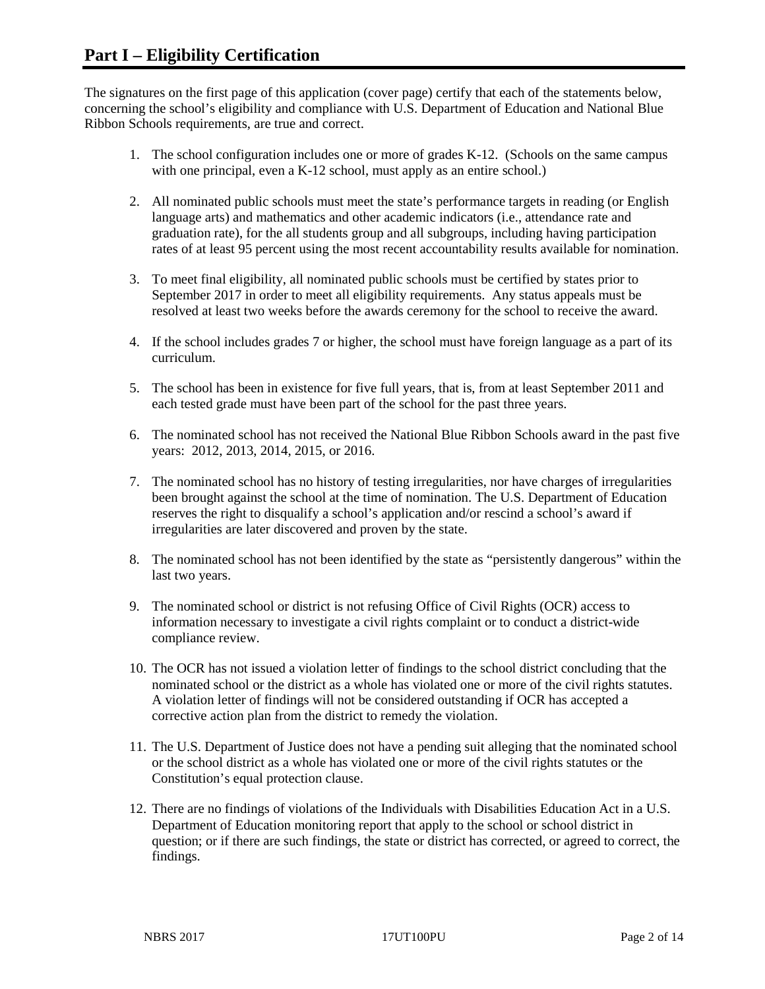The signatures on the first page of this application (cover page) certify that each of the statements below, concerning the school's eligibility and compliance with U.S. Department of Education and National Blue Ribbon Schools requirements, are true and correct.

- 1. The school configuration includes one or more of grades K-12. (Schools on the same campus with one principal, even a K-12 school, must apply as an entire school.)
- 2. All nominated public schools must meet the state's performance targets in reading (or English language arts) and mathematics and other academic indicators (i.e., attendance rate and graduation rate), for the all students group and all subgroups, including having participation rates of at least 95 percent using the most recent accountability results available for nomination.
- 3. To meet final eligibility, all nominated public schools must be certified by states prior to September 2017 in order to meet all eligibility requirements. Any status appeals must be resolved at least two weeks before the awards ceremony for the school to receive the award.
- 4. If the school includes grades 7 or higher, the school must have foreign language as a part of its curriculum.
- 5. The school has been in existence for five full years, that is, from at least September 2011 and each tested grade must have been part of the school for the past three years.
- 6. The nominated school has not received the National Blue Ribbon Schools award in the past five years: 2012, 2013, 2014, 2015, or 2016.
- 7. The nominated school has no history of testing irregularities, nor have charges of irregularities been brought against the school at the time of nomination. The U.S. Department of Education reserves the right to disqualify a school's application and/or rescind a school's award if irregularities are later discovered and proven by the state.
- 8. The nominated school has not been identified by the state as "persistently dangerous" within the last two years.
- 9. The nominated school or district is not refusing Office of Civil Rights (OCR) access to information necessary to investigate a civil rights complaint or to conduct a district-wide compliance review.
- 10. The OCR has not issued a violation letter of findings to the school district concluding that the nominated school or the district as a whole has violated one or more of the civil rights statutes. A violation letter of findings will not be considered outstanding if OCR has accepted a corrective action plan from the district to remedy the violation.
- 11. The U.S. Department of Justice does not have a pending suit alleging that the nominated school or the school district as a whole has violated one or more of the civil rights statutes or the Constitution's equal protection clause.
- 12. There are no findings of violations of the Individuals with Disabilities Education Act in a U.S. Department of Education monitoring report that apply to the school or school district in question; or if there are such findings, the state or district has corrected, or agreed to correct, the findings.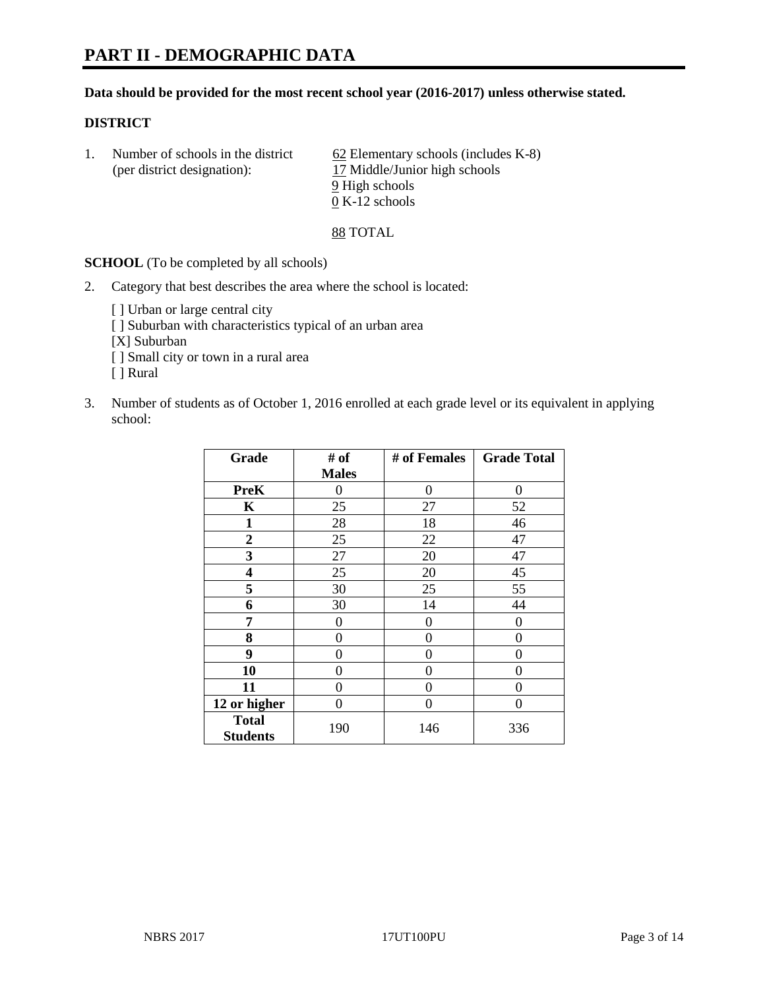# **PART II - DEMOGRAPHIC DATA**

#### **Data should be provided for the most recent school year (2016-2017) unless otherwise stated.**

#### **DISTRICT**

1. Number of schools in the district  $62$  Elementary schools (includes K-8) (per district designation): 17 Middle/Junior high schools 9 High schools 0 K-12 schools

88 TOTAL

**SCHOOL** (To be completed by all schools)

- 2. Category that best describes the area where the school is located:
	- [] Urban or large central city [ ] Suburban with characteristics typical of an urban area [X] Suburban [ ] Small city or town in a rural area [ ] Rural
- 3. Number of students as of October 1, 2016 enrolled at each grade level or its equivalent in applying school:

| Grade                           | # of         | # of Females | <b>Grade Total</b> |
|---------------------------------|--------------|--------------|--------------------|
|                                 | <b>Males</b> |              |                    |
| <b>PreK</b>                     | 0            | 0            | 0                  |
| K                               | 25           | 27           | 52                 |
| $\mathbf{1}$                    | 28           | 18           | 46                 |
| $\overline{2}$                  | 25           | 22           | 47                 |
| 3                               | 27           | 20           | 47                 |
| 4                               | 25           | 20           | 45                 |
| 5                               | 30           | 25           | 55                 |
| 6                               | 30           | 14           | 44                 |
| 7                               | 0            | 0            | 0                  |
| 8                               | $\theta$     | $\theta$     | 0                  |
| 9                               | 0            | 0            | 0                  |
| 10                              | $\theta$     | 0            | 0                  |
| 11                              | 0            | 0            | 0                  |
| 12 or higher                    | 0            | 0            | 0                  |
| <b>Total</b><br><b>Students</b> | 190          | 146          | 336                |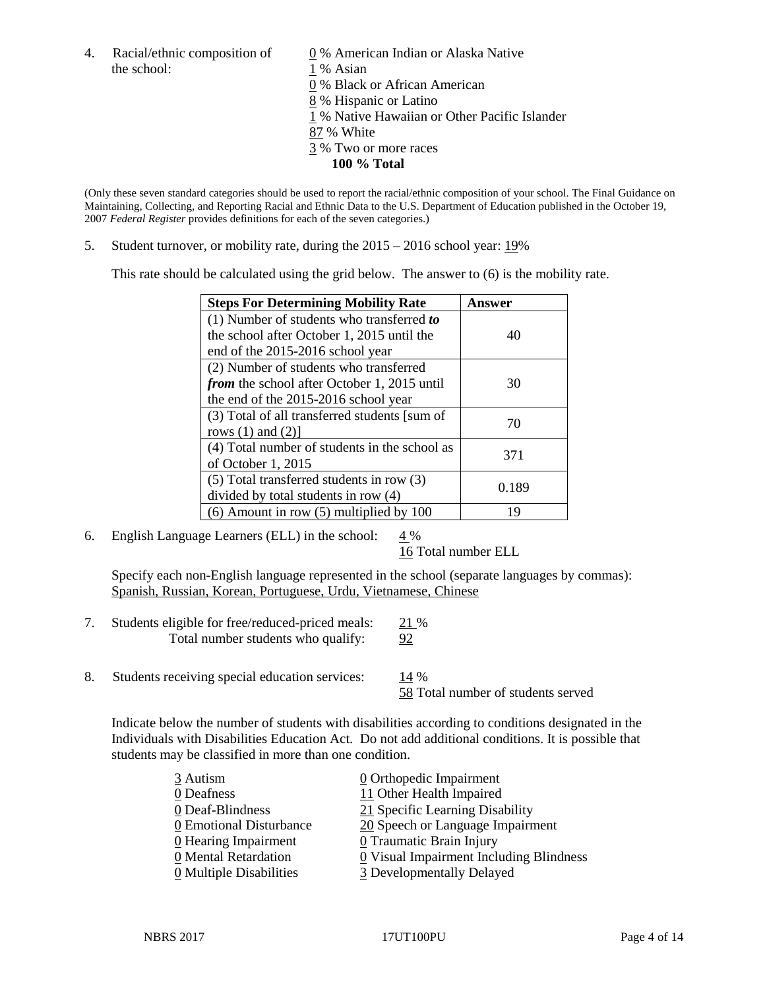the school: 1 % Asian

4. Racial/ethnic composition of  $\qquad \qquad \underline{0}$  % American Indian or Alaska Native % Black or African American % Hispanic or Latino % Native Hawaiian or Other Pacific Islander

- 87 % White
- 3 % Two or more races
	- **100 % Total**

(Only these seven standard categories should be used to report the racial/ethnic composition of your school. The Final Guidance on Maintaining, Collecting, and Reporting Racial and Ethnic Data to the U.S. Department of Education published in the October 19, 2007 *Federal Register* provides definitions for each of the seven categories.)

5. Student turnover, or mobility rate, during the 2015 – 2016 school year: 19%

This rate should be calculated using the grid below. The answer to (6) is the mobility rate.

| <b>Steps For Determining Mobility Rate</b>    | Answer |  |
|-----------------------------------------------|--------|--|
| (1) Number of students who transferred to     |        |  |
| the school after October 1, 2015 until the    | 40     |  |
| end of the 2015-2016 school year              |        |  |
| (2) Number of students who transferred        |        |  |
| from the school after October 1, 2015 until   | 30     |  |
| the end of the 2015-2016 school year          |        |  |
| (3) Total of all transferred students [sum of | 70     |  |
| rows $(1)$ and $(2)$ ]                        |        |  |
| (4) Total number of students in the school as | 371    |  |
| of October 1, 2015                            |        |  |
| (5) Total transferred students in row (3)     | 0.189  |  |
| divided by total students in row (4)          |        |  |
| $(6)$ Amount in row $(5)$ multiplied by 100   | 19     |  |

6. English Language Learners (ELL) in the school:  $4\%$ 

16 Total number ELL

Specify each non-English language represented in the school (separate languages by commas): Spanish, Russian, Korean, Portuguese, Urdu, Vietnamese, Chinese

- 7. Students eligible for free/reduced-priced meals: 21 % Total number students who qualify: 92
- 8. Students receiving special education services: 14 %

58 Total number of students served

Indicate below the number of students with disabilities according to conditions designated in the Individuals with Disabilities Education Act. Do not add additional conditions. It is possible that students may be classified in more than one condition.

| 3 Autism                              | 0 Orthopedic Impairment                   |
|---------------------------------------|-------------------------------------------|
| 0 Deafness                            | 11 Other Health Impaired                  |
| 0 Deaf-Blindness                      | 21 Specific Learning Disability           |
| 0 Emotional Disturbance               | 20 Speech or Language Impairment          |
| 0 Hearing Impairment                  | 0 Traumatic Brain Injury                  |
| 0 Mental Retardation                  | $Q$ Visual Impairment Including Blindness |
| $\underline{0}$ Multiple Disabilities | 3 Developmentally Delayed                 |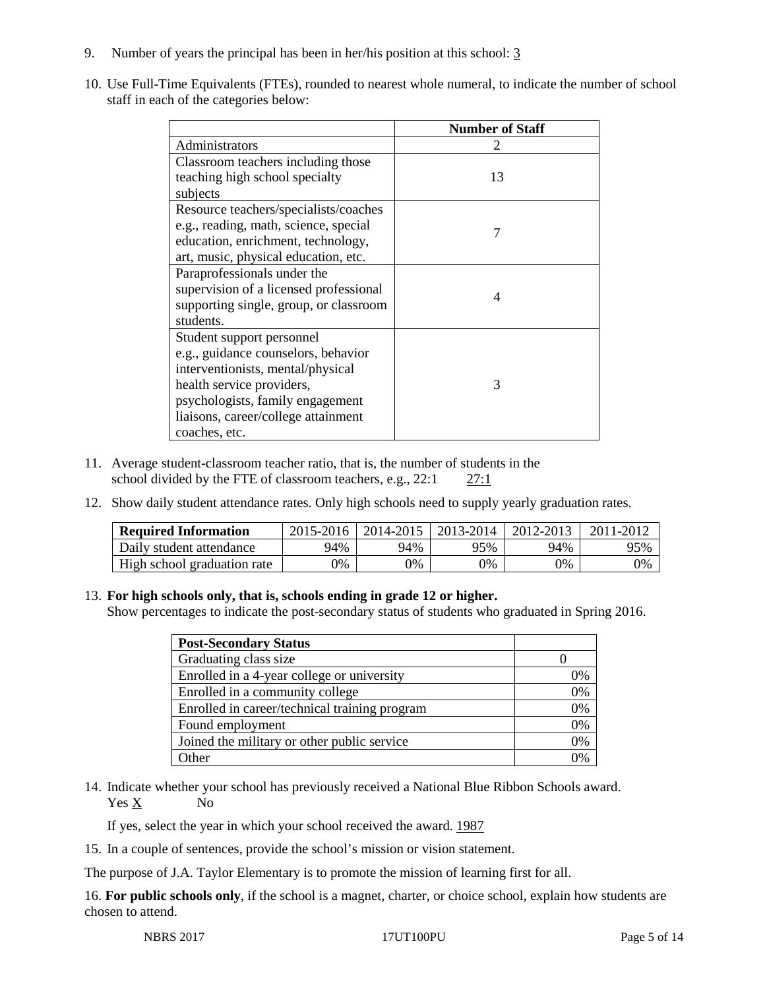- 9. Number of years the principal has been in her/his position at this school: 3
- 10. Use Full-Time Equivalents (FTEs), rounded to nearest whole numeral, to indicate the number of school staff in each of the categories below:

|                                        | <b>Number of Staff</b> |
|----------------------------------------|------------------------|
| Administrators                         |                        |
| Classroom teachers including those     |                        |
| teaching high school specialty         | 13                     |
| subjects                               |                        |
| Resource teachers/specialists/coaches  |                        |
| e.g., reading, math, science, special  | 7                      |
| education, enrichment, technology,     |                        |
| art, music, physical education, etc.   |                        |
| Paraprofessionals under the            |                        |
| supervision of a licensed professional | 4                      |
| supporting single, group, or classroom |                        |
| students.                              |                        |
| Student support personnel              |                        |
| e.g., guidance counselors, behavior    |                        |
| interventionists, mental/physical      |                        |
| health service providers,              | 3                      |
| psychologists, family engagement       |                        |
| liaisons, career/college attainment    |                        |
| coaches, etc.                          |                        |

- 11. Average student-classroom teacher ratio, that is, the number of students in the school divided by the FTE of classroom teachers, e.g., 22:1 27:1
- 12. Show daily student attendance rates. Only high schools need to supply yearly graduation rates.

| <b>Required Information</b> | 2015-2016 | 2014-2015 | 2013-2014 | 2012-2013 |     |
|-----------------------------|-----------|-----------|-----------|-----------|-----|
| Daily student attendance    | 94%       | 94%       | 95%       | 94%       | 95% |
| High school graduation rate | 0%        | 0%        | 0%        | 9%        | 0%  |

#### 13. **For high schools only, that is, schools ending in grade 12 or higher.**

Show percentages to indicate the post-secondary status of students who graduated in Spring 2016.

| <b>Post-Secondary Status</b>                  |    |
|-----------------------------------------------|----|
| Graduating class size                         |    |
| Enrolled in a 4-year college or university    | 0% |
| Enrolled in a community college               | 0% |
| Enrolled in career/technical training program | 0% |
| Found employment                              | 0% |
| Joined the military or other public service   | 0% |
| .)ther                                        |    |

14. Indicate whether your school has previously received a National Blue Ribbon Schools award. Yes X No

If yes, select the year in which your school received the award. 1987

15. In a couple of sentences, provide the school's mission or vision statement.

The purpose of J.A. Taylor Elementary is to promote the mission of learning first for all.

16. **For public schools only**, if the school is a magnet, charter, or choice school, explain how students are chosen to attend.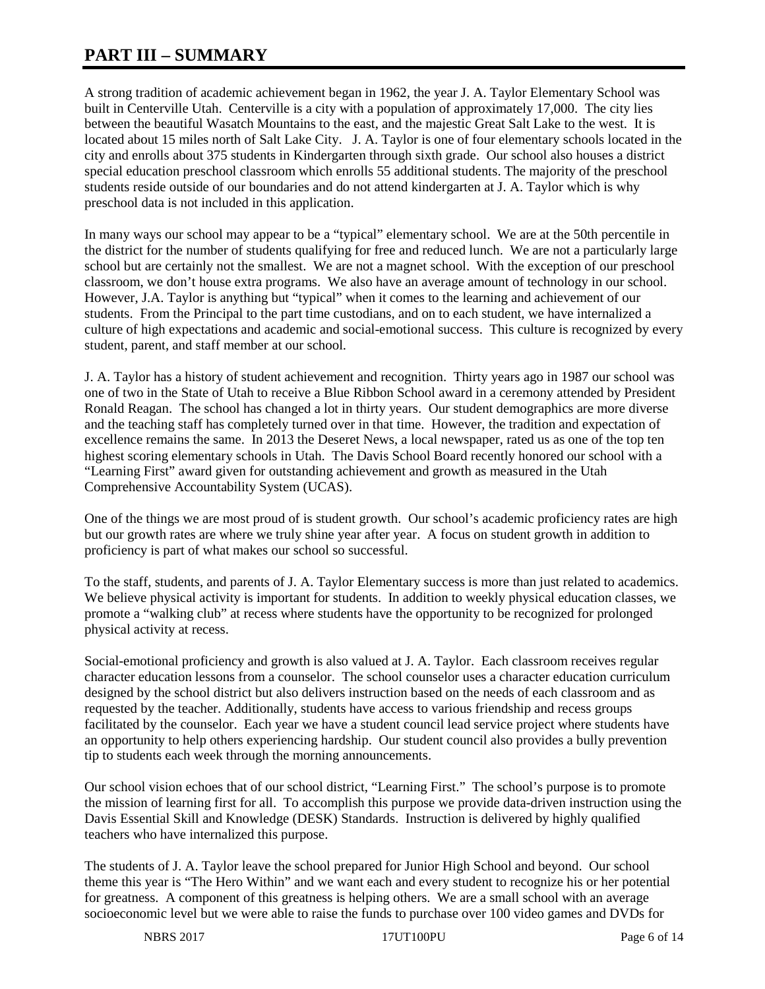# **PART III – SUMMARY**

A strong tradition of academic achievement began in 1962, the year J. A. Taylor Elementary School was built in Centerville Utah. Centerville is a city with a population of approximately 17,000. The city lies between the beautiful Wasatch Mountains to the east, and the majestic Great Salt Lake to the west. It is located about 15 miles north of Salt Lake City. J. A. Taylor is one of four elementary schools located in the city and enrolls about 375 students in Kindergarten through sixth grade. Our school also houses a district special education preschool classroom which enrolls 55 additional students. The majority of the preschool students reside outside of our boundaries and do not attend kindergarten at J. A. Taylor which is why preschool data is not included in this application.

In many ways our school may appear to be a "typical" elementary school. We are at the 50th percentile in the district for the number of students qualifying for free and reduced lunch. We are not a particularly large school but are certainly not the smallest. We are not a magnet school. With the exception of our preschool classroom, we don't house extra programs. We also have an average amount of technology in our school. However, J.A. Taylor is anything but "typical" when it comes to the learning and achievement of our students. From the Principal to the part time custodians, and on to each student, we have internalized a culture of high expectations and academic and social-emotional success. This culture is recognized by every student, parent, and staff member at our school.

J. A. Taylor has a history of student achievement and recognition. Thirty years ago in 1987 our school was one of two in the State of Utah to receive a Blue Ribbon School award in a ceremony attended by President Ronald Reagan. The school has changed a lot in thirty years. Our student demographics are more diverse and the teaching staff has completely turned over in that time. However, the tradition and expectation of excellence remains the same. In 2013 the Deseret News, a local newspaper, rated us as one of the top ten highest scoring elementary schools in Utah. The Davis School Board recently honored our school with a "Learning First" award given for outstanding achievement and growth as measured in the Utah Comprehensive Accountability System (UCAS).

One of the things we are most proud of is student growth. Our school's academic proficiency rates are high but our growth rates are where we truly shine year after year. A focus on student growth in addition to proficiency is part of what makes our school so successful.

To the staff, students, and parents of J. A. Taylor Elementary success is more than just related to academics. We believe physical activity is important for students. In addition to weekly physical education classes, we promote a "walking club" at recess where students have the opportunity to be recognized for prolonged physical activity at recess.

Social-emotional proficiency and growth is also valued at J. A. Taylor. Each classroom receives regular character education lessons from a counselor. The school counselor uses a character education curriculum designed by the school district but also delivers instruction based on the needs of each classroom and as requested by the teacher. Additionally, students have access to various friendship and recess groups facilitated by the counselor. Each year we have a student council lead service project where students have an opportunity to help others experiencing hardship. Our student council also provides a bully prevention tip to students each week through the morning announcements.

Our school vision echoes that of our school district, "Learning First." The school's purpose is to promote the mission of learning first for all. To accomplish this purpose we provide data-driven instruction using the Davis Essential Skill and Knowledge (DESK) Standards. Instruction is delivered by highly qualified teachers who have internalized this purpose.

The students of J. A. Taylor leave the school prepared for Junior High School and beyond. Our school theme this year is "The Hero Within" and we want each and every student to recognize his or her potential for greatness. A component of this greatness is helping others. We are a small school with an average socioeconomic level but we were able to raise the funds to purchase over 100 video games and DVDs for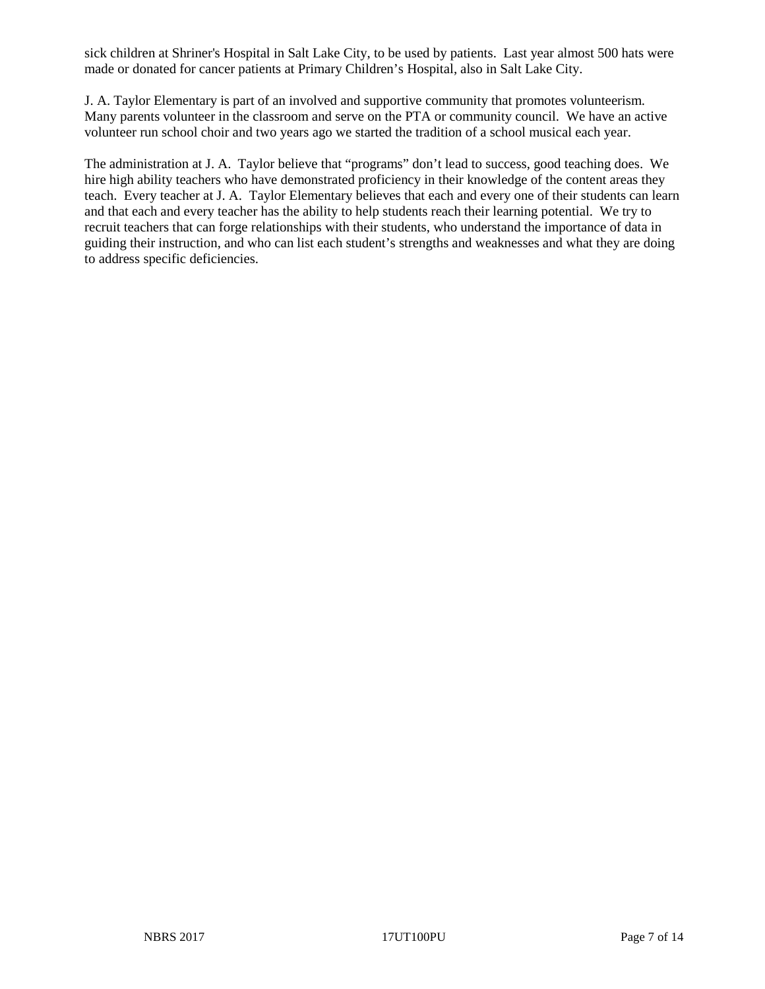sick children at Shriner's Hospital in Salt Lake City, to be used by patients. Last year almost 500 hats were made or donated for cancer patients at Primary Children's Hospital, also in Salt Lake City.

J. A. Taylor Elementary is part of an involved and supportive community that promotes volunteerism. Many parents volunteer in the classroom and serve on the PTA or community council. We have an active volunteer run school choir and two years ago we started the tradition of a school musical each year.

The administration at J. A. Taylor believe that "programs" don't lead to success, good teaching does. We hire high ability teachers who have demonstrated proficiency in their knowledge of the content areas they teach. Every teacher at J. A. Taylor Elementary believes that each and every one of their students can learn and that each and every teacher has the ability to help students reach their learning potential. We try to recruit teachers that can forge relationships with their students, who understand the importance of data in guiding their instruction, and who can list each student's strengths and weaknesses and what they are doing to address specific deficiencies.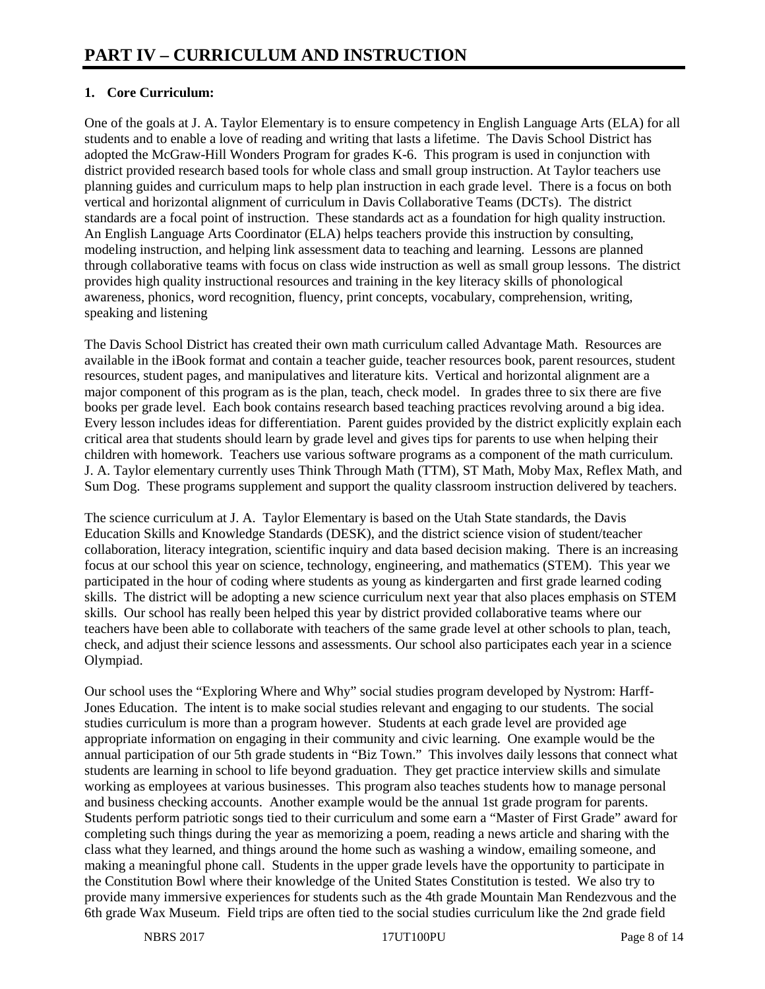## **1. Core Curriculum:**

One of the goals at J. A. Taylor Elementary is to ensure competency in English Language Arts (ELA) for all students and to enable a love of reading and writing that lasts a lifetime. The Davis School District has adopted the McGraw-Hill Wonders Program for grades K-6. This program is used in conjunction with district provided research based tools for whole class and small group instruction. At Taylor teachers use planning guides and curriculum maps to help plan instruction in each grade level. There is a focus on both vertical and horizontal alignment of curriculum in Davis Collaborative Teams (DCTs). The district standards are a focal point of instruction. These standards act as a foundation for high quality instruction. An English Language Arts Coordinator (ELA) helps teachers provide this instruction by consulting, modeling instruction, and helping link assessment data to teaching and learning. Lessons are planned through collaborative teams with focus on class wide instruction as well as small group lessons. The district provides high quality instructional resources and training in the key literacy skills of phonological awareness, phonics, word recognition, fluency, print concepts, vocabulary, comprehension, writing, speaking and listening

The Davis School District has created their own math curriculum called Advantage Math. Resources are available in the iBook format and contain a teacher guide, teacher resources book, parent resources, student resources, student pages, and manipulatives and literature kits. Vertical and horizontal alignment are a major component of this program as is the plan, teach, check model. In grades three to six there are five books per grade level. Each book contains research based teaching practices revolving around a big idea. Every lesson includes ideas for differentiation. Parent guides provided by the district explicitly explain each critical area that students should learn by grade level and gives tips for parents to use when helping their children with homework. Teachers use various software programs as a component of the math curriculum. J. A. Taylor elementary currently uses Think Through Math (TTM), ST Math, Moby Max, Reflex Math, and Sum Dog. These programs supplement and support the quality classroom instruction delivered by teachers.

The science curriculum at J. A. Taylor Elementary is based on the Utah State standards, the Davis Education Skills and Knowledge Standards (DESK), and the district science vision of student/teacher collaboration, literacy integration, scientific inquiry and data based decision making. There is an increasing focus at our school this year on science, technology, engineering, and mathematics (STEM). This year we participated in the hour of coding where students as young as kindergarten and first grade learned coding skills. The district will be adopting a new science curriculum next year that also places emphasis on STEM skills. Our school has really been helped this year by district provided collaborative teams where our teachers have been able to collaborate with teachers of the same grade level at other schools to plan, teach, check, and adjust their science lessons and assessments. Our school also participates each year in a science Olympiad.

Our school uses the "Exploring Where and Why" social studies program developed by Nystrom: Harff-Jones Education. The intent is to make social studies relevant and engaging to our students. The social studies curriculum is more than a program however. Students at each grade level are provided age appropriate information on engaging in their community and civic learning. One example would be the annual participation of our 5th grade students in "Biz Town." This involves daily lessons that connect what students are learning in school to life beyond graduation. They get practice interview skills and simulate working as employees at various businesses. This program also teaches students how to manage personal and business checking accounts. Another example would be the annual 1st grade program for parents. Students perform patriotic songs tied to their curriculum and some earn a "Master of First Grade" award for completing such things during the year as memorizing a poem, reading a news article and sharing with the class what they learned, and things around the home such as washing a window, emailing someone, and making a meaningful phone call. Students in the upper grade levels have the opportunity to participate in the Constitution Bowl where their knowledge of the United States Constitution is tested. We also try to provide many immersive experiences for students such as the 4th grade Mountain Man Rendezvous and the 6th grade Wax Museum. Field trips are often tied to the social studies curriculum like the 2nd grade field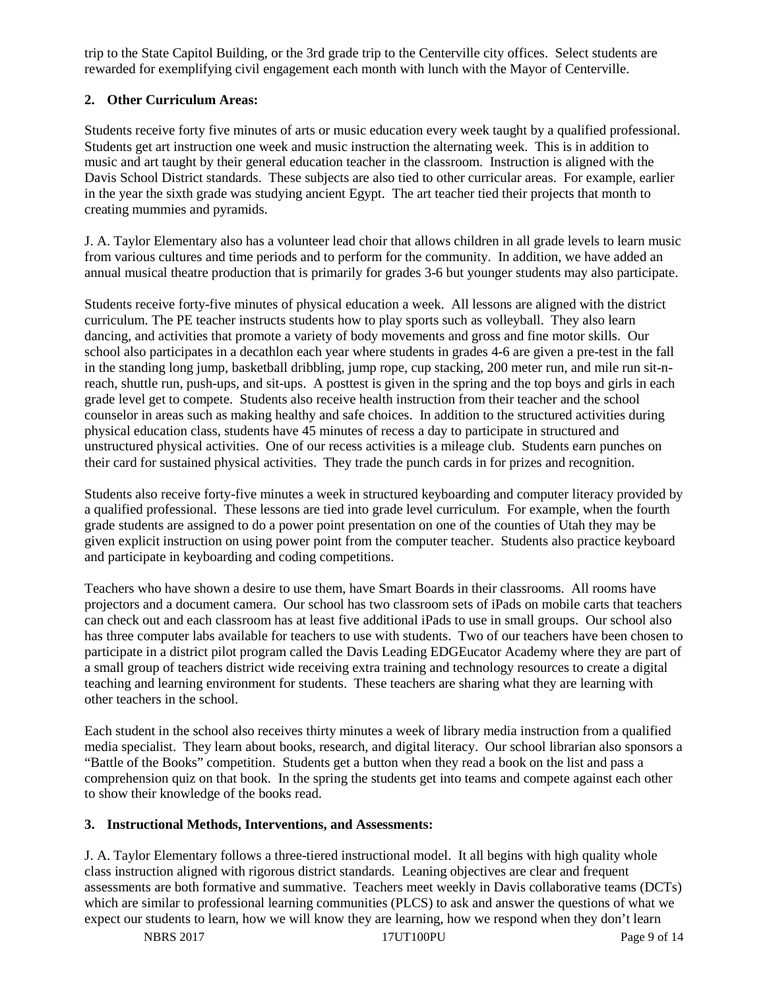trip to the State Capitol Building, or the 3rd grade trip to the Centerville city offices. Select students are rewarded for exemplifying civil engagement each month with lunch with the Mayor of Centerville.

## **2. Other Curriculum Areas:**

Students receive forty five minutes of arts or music education every week taught by a qualified professional. Students get art instruction one week and music instruction the alternating week. This is in addition to music and art taught by their general education teacher in the classroom. Instruction is aligned with the Davis School District standards. These subjects are also tied to other curricular areas. For example, earlier in the year the sixth grade was studying ancient Egypt. The art teacher tied their projects that month to creating mummies and pyramids.

J. A. Taylor Elementary also has a volunteer lead choir that allows children in all grade levels to learn music from various cultures and time periods and to perform for the community. In addition, we have added an annual musical theatre production that is primarily for grades 3-6 but younger students may also participate.

Students receive forty-five minutes of physical education a week. All lessons are aligned with the district curriculum. The PE teacher instructs students how to play sports such as volleyball. They also learn dancing, and activities that promote a variety of body movements and gross and fine motor skills. Our school also participates in a decathlon each year where students in grades 4-6 are given a pre-test in the fall in the standing long jump, basketball dribbling, jump rope, cup stacking, 200 meter run, and mile run sit-nreach, shuttle run, push-ups, and sit-ups. A posttest is given in the spring and the top boys and girls in each grade level get to compete. Students also receive health instruction from their teacher and the school counselor in areas such as making healthy and safe choices. In addition to the structured activities during physical education class, students have 45 minutes of recess a day to participate in structured and unstructured physical activities. One of our recess activities is a mileage club. Students earn punches on their card for sustained physical activities. They trade the punch cards in for prizes and recognition.

Students also receive forty-five minutes a week in structured keyboarding and computer literacy provided by a qualified professional. These lessons are tied into grade level curriculum. For example, when the fourth grade students are assigned to do a power point presentation on one of the counties of Utah they may be given explicit instruction on using power point from the computer teacher. Students also practice keyboard and participate in keyboarding and coding competitions.

Teachers who have shown a desire to use them, have Smart Boards in their classrooms. All rooms have projectors and a document camera. Our school has two classroom sets of iPads on mobile carts that teachers can check out and each classroom has at least five additional iPads to use in small groups. Our school also has three computer labs available for teachers to use with students. Two of our teachers have been chosen to participate in a district pilot program called the Davis Leading EDGEucator Academy where they are part of a small group of teachers district wide receiving extra training and technology resources to create a digital teaching and learning environment for students. These teachers are sharing what they are learning with other teachers in the school.

Each student in the school also receives thirty minutes a week of library media instruction from a qualified media specialist. They learn about books, research, and digital literacy. Our school librarian also sponsors a "Battle of the Books" competition. Students get a button when they read a book on the list and pass a comprehension quiz on that book. In the spring the students get into teams and compete against each other to show their knowledge of the books read.

## **3. Instructional Methods, Interventions, and Assessments:**

J. A. Taylor Elementary follows a three-tiered instructional model. It all begins with high quality whole class instruction aligned with rigorous district standards. Leaning objectives are clear and frequent assessments are both formative and summative. Teachers meet weekly in Davis collaborative teams (DCTs) which are similar to professional learning communities (PLCS) to ask and answer the questions of what we expect our students to learn, how we will know they are learning, how we respond when they don't learn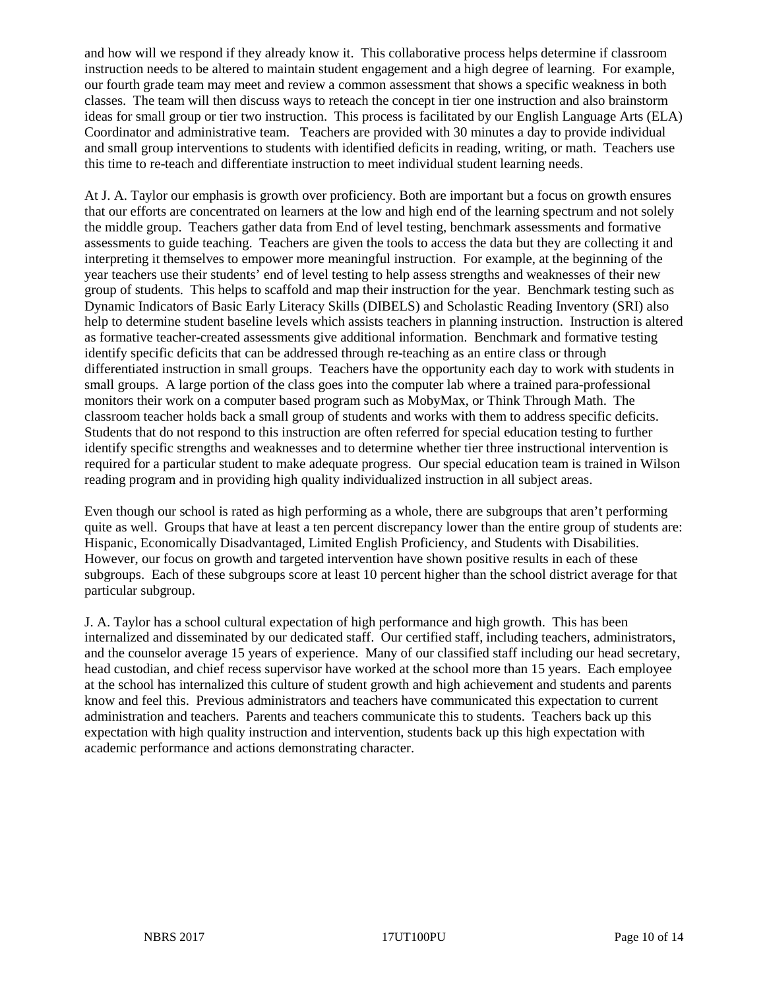and how will we respond if they already know it. This collaborative process helps determine if classroom instruction needs to be altered to maintain student engagement and a high degree of learning. For example, our fourth grade team may meet and review a common assessment that shows a specific weakness in both classes. The team will then discuss ways to reteach the concept in tier one instruction and also brainstorm ideas for small group or tier two instruction. This process is facilitated by our English Language Arts (ELA) Coordinator and administrative team. Teachers are provided with 30 minutes a day to provide individual and small group interventions to students with identified deficits in reading, writing, or math. Teachers use this time to re-teach and differentiate instruction to meet individual student learning needs.

At J. A. Taylor our emphasis is growth over proficiency. Both are important but a focus on growth ensures that our efforts are concentrated on learners at the low and high end of the learning spectrum and not solely the middle group. Teachers gather data from End of level testing, benchmark assessments and formative assessments to guide teaching. Teachers are given the tools to access the data but they are collecting it and interpreting it themselves to empower more meaningful instruction. For example, at the beginning of the year teachers use their students' end of level testing to help assess strengths and weaknesses of their new group of students. This helps to scaffold and map their instruction for the year. Benchmark testing such as Dynamic Indicators of Basic Early Literacy Skills (DIBELS) and Scholastic Reading Inventory (SRI) also help to determine student baseline levels which assists teachers in planning instruction. Instruction is altered as formative teacher-created assessments give additional information. Benchmark and formative testing identify specific deficits that can be addressed through re-teaching as an entire class or through differentiated instruction in small groups. Teachers have the opportunity each day to work with students in small groups. A large portion of the class goes into the computer lab where a trained para-professional monitors their work on a computer based program such as MobyMax, or Think Through Math. The classroom teacher holds back a small group of students and works with them to address specific deficits. Students that do not respond to this instruction are often referred for special education testing to further identify specific strengths and weaknesses and to determine whether tier three instructional intervention is required for a particular student to make adequate progress. Our special education team is trained in Wilson reading program and in providing high quality individualized instruction in all subject areas.

Even though our school is rated as high performing as a whole, there are subgroups that aren't performing quite as well. Groups that have at least a ten percent discrepancy lower than the entire group of students are: Hispanic, Economically Disadvantaged, Limited English Proficiency, and Students with Disabilities. However, our focus on growth and targeted intervention have shown positive results in each of these subgroups. Each of these subgroups score at least 10 percent higher than the school district average for that particular subgroup.

J. A. Taylor has a school cultural expectation of high performance and high growth. This has been internalized and disseminated by our dedicated staff. Our certified staff, including teachers, administrators, and the counselor average 15 years of experience. Many of our classified staff including our head secretary, head custodian, and chief recess supervisor have worked at the school more than 15 years. Each employee at the school has internalized this culture of student growth and high achievement and students and parents know and feel this. Previous administrators and teachers have communicated this expectation to current administration and teachers. Parents and teachers communicate this to students. Teachers back up this expectation with high quality instruction and intervention, students back up this high expectation with academic performance and actions demonstrating character.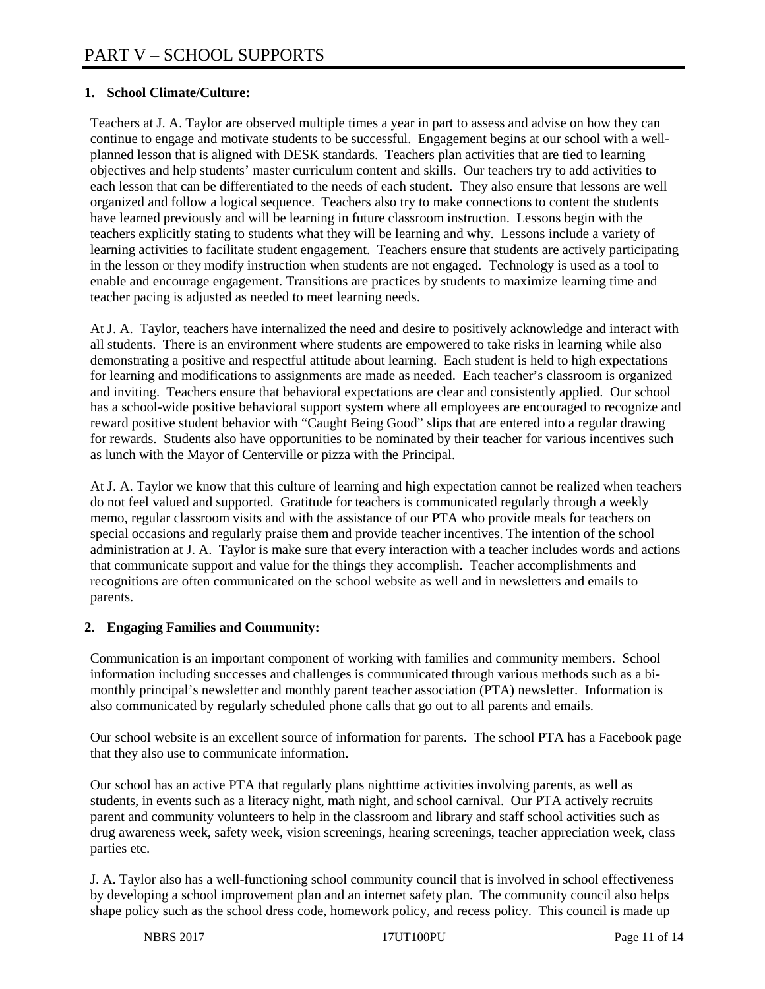## **1. School Climate/Culture:**

Teachers at J. A. Taylor are observed multiple times a year in part to assess and advise on how they can continue to engage and motivate students to be successful. Engagement begins at our school with a wellplanned lesson that is aligned with DESK standards. Teachers plan activities that are tied to learning objectives and help students' master curriculum content and skills. Our teachers try to add activities to each lesson that can be differentiated to the needs of each student. They also ensure that lessons are well organized and follow a logical sequence. Teachers also try to make connections to content the students have learned previously and will be learning in future classroom instruction. Lessons begin with the teachers explicitly stating to students what they will be learning and why. Lessons include a variety of learning activities to facilitate student engagement. Teachers ensure that students are actively participating in the lesson or they modify instruction when students are not engaged. Technology is used as a tool to enable and encourage engagement. Transitions are practices by students to maximize learning time and teacher pacing is adjusted as needed to meet learning needs.

At J. A. Taylor, teachers have internalized the need and desire to positively acknowledge and interact with all students. There is an environment where students are empowered to take risks in learning while also demonstrating a positive and respectful attitude about learning. Each student is held to high expectations for learning and modifications to assignments are made as needed. Each teacher's classroom is organized and inviting. Teachers ensure that behavioral expectations are clear and consistently applied. Our school has a school-wide positive behavioral support system where all employees are encouraged to recognize and reward positive student behavior with "Caught Being Good" slips that are entered into a regular drawing for rewards. Students also have opportunities to be nominated by their teacher for various incentives such as lunch with the Mayor of Centerville or pizza with the Principal.

At J. A. Taylor we know that this culture of learning and high expectation cannot be realized when teachers do not feel valued and supported. Gratitude for teachers is communicated regularly through a weekly memo, regular classroom visits and with the assistance of our PTA who provide meals for teachers on special occasions and regularly praise them and provide teacher incentives. The intention of the school administration at J. A. Taylor is make sure that every interaction with a teacher includes words and actions that communicate support and value for the things they accomplish. Teacher accomplishments and recognitions are often communicated on the school website as well and in newsletters and emails to parents.

#### **2. Engaging Families and Community:**

Communication is an important component of working with families and community members. School information including successes and challenges is communicated through various methods such as a bimonthly principal's newsletter and monthly parent teacher association (PTA) newsletter. Information is also communicated by regularly scheduled phone calls that go out to all parents and emails.

Our school website is an excellent source of information for parents. The school PTA has a Facebook page that they also use to communicate information.

Our school has an active PTA that regularly plans nighttime activities involving parents, as well as students, in events such as a literacy night, math night, and school carnival. Our PTA actively recruits parent and community volunteers to help in the classroom and library and staff school activities such as drug awareness week, safety week, vision screenings, hearing screenings, teacher appreciation week, class parties etc.

J. A. Taylor also has a well-functioning school community council that is involved in school effectiveness by developing a school improvement plan and an internet safety plan. The community council also helps shape policy such as the school dress code, homework policy, and recess policy. This council is made up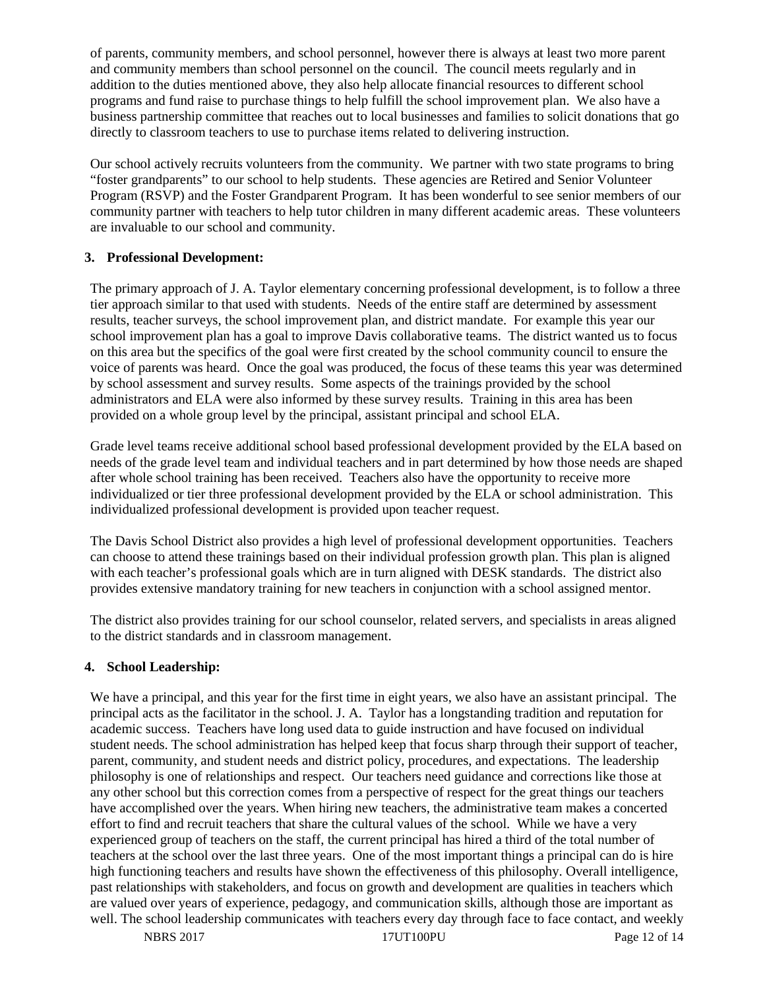of parents, community members, and school personnel, however there is always at least two more parent and community members than school personnel on the council. The council meets regularly and in addition to the duties mentioned above, they also help allocate financial resources to different school programs and fund raise to purchase things to help fulfill the school improvement plan. We also have a business partnership committee that reaches out to local businesses and families to solicit donations that go directly to classroom teachers to use to purchase items related to delivering instruction.

Our school actively recruits volunteers from the community. We partner with two state programs to bring "foster grandparents" to our school to help students. These agencies are Retired and Senior Volunteer Program (RSVP) and the Foster Grandparent Program. It has been wonderful to see senior members of our community partner with teachers to help tutor children in many different academic areas. These volunteers are invaluable to our school and community.

## **3. Professional Development:**

The primary approach of J. A. Taylor elementary concerning professional development, is to follow a three tier approach similar to that used with students. Needs of the entire staff are determined by assessment results, teacher surveys, the school improvement plan, and district mandate. For example this year our school improvement plan has a goal to improve Davis collaborative teams. The district wanted us to focus on this area but the specifics of the goal were first created by the school community council to ensure the voice of parents was heard. Once the goal was produced, the focus of these teams this year was determined by school assessment and survey results. Some aspects of the trainings provided by the school administrators and ELA were also informed by these survey results. Training in this area has been provided on a whole group level by the principal, assistant principal and school ELA.

Grade level teams receive additional school based professional development provided by the ELA based on needs of the grade level team and individual teachers and in part determined by how those needs are shaped after whole school training has been received. Teachers also have the opportunity to receive more individualized or tier three professional development provided by the ELA or school administration. This individualized professional development is provided upon teacher request.

The Davis School District also provides a high level of professional development opportunities. Teachers can choose to attend these trainings based on their individual profession growth plan. This plan is aligned with each teacher's professional goals which are in turn aligned with DESK standards. The district also provides extensive mandatory training for new teachers in conjunction with a school assigned mentor.

The district also provides training for our school counselor, related servers, and specialists in areas aligned to the district standards and in classroom management.

## **4. School Leadership:**

We have a principal, and this year for the first time in eight years, we also have an assistant principal. The principal acts as the facilitator in the school. J. A. Taylor has a longstanding tradition and reputation for academic success. Teachers have long used data to guide instruction and have focused on individual student needs. The school administration has helped keep that focus sharp through their support of teacher, parent, community, and student needs and district policy, procedures, and expectations. The leadership philosophy is one of relationships and respect. Our teachers need guidance and corrections like those at any other school but this correction comes from a perspective of respect for the great things our teachers have accomplished over the years. When hiring new teachers, the administrative team makes a concerted effort to find and recruit teachers that share the cultural values of the school. While we have a very experienced group of teachers on the staff, the current principal has hired a third of the total number of teachers at the school over the last three years. One of the most important things a principal can do is hire high functioning teachers and results have shown the effectiveness of this philosophy. Overall intelligence, past relationships with stakeholders, and focus on growth and development are qualities in teachers which are valued over years of experience, pedagogy, and communication skills, although those are important as well. The school leadership communicates with teachers every day through face to face contact, and weekly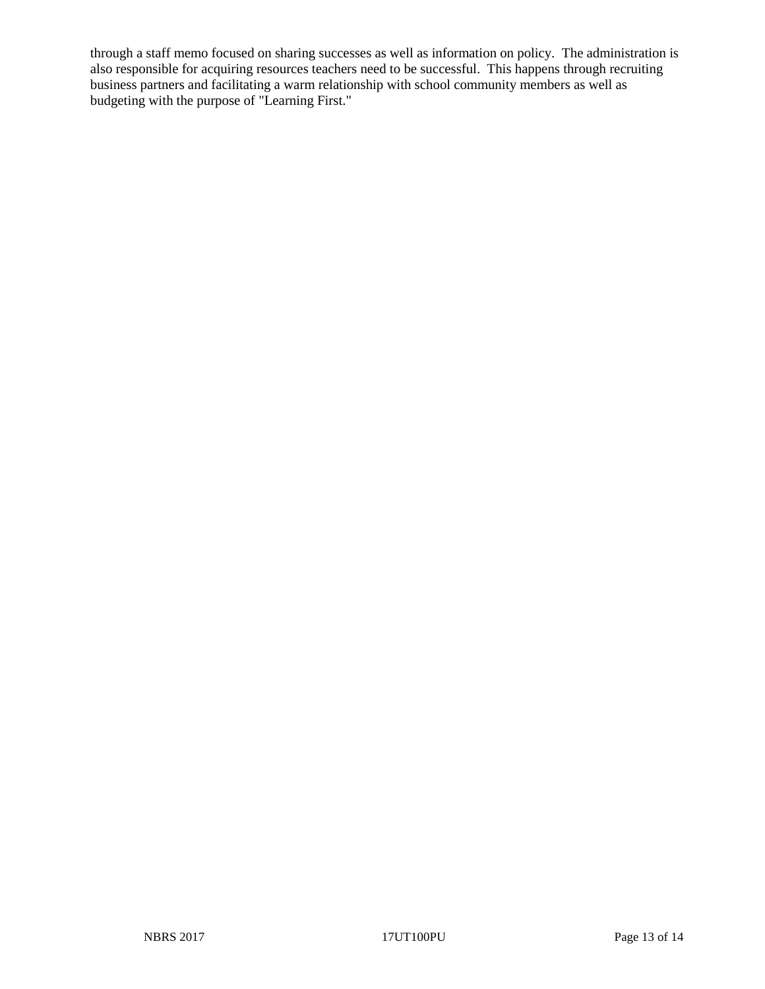through a staff memo focused on sharing successes as well as information on policy. The administration is also responsible for acquiring resources teachers need to be successful. This happens through recruiting business partners and facilitating a warm relationship with school community members as well as budgeting with the purpose of "Learning First."